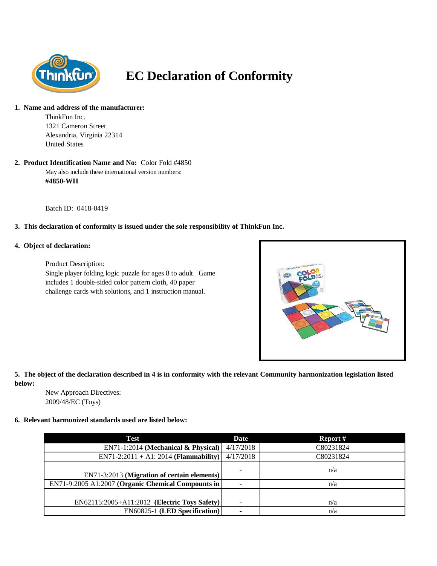

# **EC Declaration of Conformity**

#### **1. Name and address of the manufacturer:**

ThinkFun Inc. 1321 Cameron Street Alexandria, Virginia 22314 United States

## **2. Product Identification Name and No:** Color Fold #4850

May also include these international version numbers: **#4850-WH**

Batch ID: 0418-0419

### **3. This declaration of conformity is issued under the sole responsibility of ThinkFun Inc.**

### **4. Object of declaration:**

Product Description: Single player folding logic puzzle for ages 8 to adult. Game includes 1 double-sided color pattern cloth, 40 paper challenge cards with solutions, and 1 instruction manual.



### **5. The object of the declaration described in 4 is in conformity with the relevant Community harmonization legislation listed below:**

New Approach Directives: 2009/48/EC (Toys)

### **6. Relevant harmonized standards used are listed below:**

| Test                                               | <b>Date</b>              | Report #  |
|----------------------------------------------------|--------------------------|-----------|
| $EN71-1:2014$ (Mechanical & Physical)              | 4/17/2018                | C80231824 |
| $EN71-2:2011 + A1:2014$ (Flammability)             | 4/17/2018                | C80231824 |
| EN71-3:2013 (Migration of certain elements)        | $\overline{\phantom{0}}$ | n/a       |
| EN71-9:2005 A1:2007 (Organic Chemical Compounts in |                          | n/a       |
|                                                    |                          |           |
| EN62115:2005+A11:2012 (Electric Toys Safety)       |                          | n/a       |
| <b>EN60825-1 (LED Specification)</b>               |                          | n/a       |